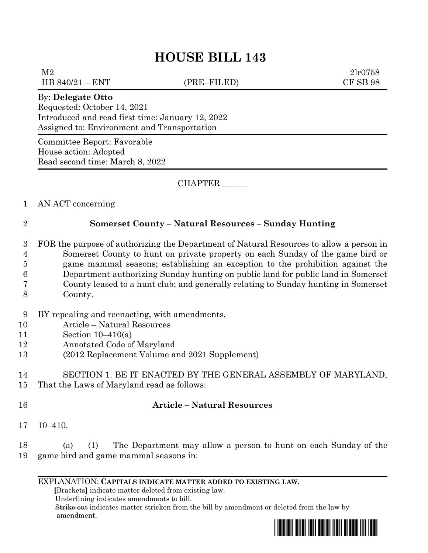# **HOUSE BILL 143**

 $M2$  2lr0758 HB 840/21 – ENT (PRE–FILED) CF SB 98

#### By: **Delegate Otto**

Requested: October 14, 2021 Introduced and read first time: January 12, 2022 Assigned to: Environment and Transportation

Committee Report: Favorable House action: Adopted Read second time: March 8, 2022

CHAPTER \_\_\_\_\_\_

### 1 AN ACT concerning

### 2 **Somerset County – Natural Resources – Sunday Hunting**

- 3 FOR the purpose of authorizing the Department of Natural Resources to allow a person in 4 Somerset County to hunt on private property on each Sunday of the game bird or 5 game mammal seasons; establishing an exception to the prohibition against the 6 Department authorizing Sunday hunting on public land for public land in Somerset 7 County leased to a hunt club; and generally relating to Sunday hunting in Somerset
- 8 County.
- 9 BY repealing and reenacting, with amendments,
- 10 Article Natural Resources
- 11 Section 10–410(a)
- 12 Annotated Code of Maryland
- 13 (2012 Replacement Volume and 2021 Supplement)

# 14 SECTION 1. BE IT ENACTED BY THE GENERAL ASSEMBLY OF MARYLAND,

15 That the Laws of Maryland read as follows:

# 16 **Article – Natural Resources**

17 10–410.

18 (a) (1) The Department may allow a person to hunt on each Sunday of the 19 game bird and game mammal seasons in:

#### EXPLANATION: **CAPITALS INDICATE MATTER ADDED TO EXISTING LAW**.

 **[**Brackets**]** indicate matter deleted from existing law.

Underlining indicates amendments to bill.

 Strike out indicates matter stricken from the bill by amendment or deleted from the law by amendment.

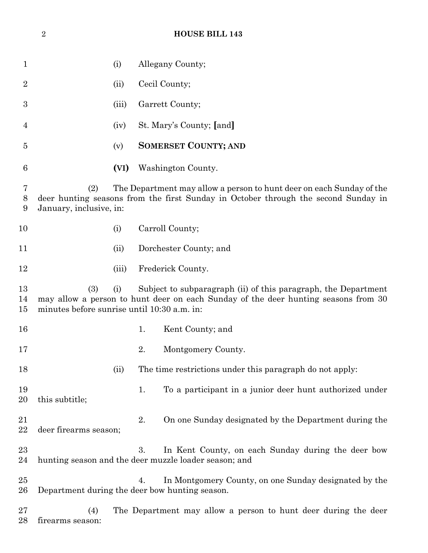| 1                |                                                                                                                                                                                                                   | (i)   |    | Allegany County;                                                                                            |  |  |
|------------------|-------------------------------------------------------------------------------------------------------------------------------------------------------------------------------------------------------------------|-------|----|-------------------------------------------------------------------------------------------------------------|--|--|
| $\overline{2}$   |                                                                                                                                                                                                                   | (ii)  |    | Cecil County;                                                                                               |  |  |
| 3                |                                                                                                                                                                                                                   | (iii) |    | Garrett County;                                                                                             |  |  |
| 4                |                                                                                                                                                                                                                   | (iv)  |    | St. Mary's County; [and]                                                                                    |  |  |
| 5                |                                                                                                                                                                                                                   | (v)   |    | <b>SOMERSET COUNTY; AND</b>                                                                                 |  |  |
| 6                |                                                                                                                                                                                                                   | (VI)  |    | Washington County.                                                                                          |  |  |
| 7<br>8<br>9      | The Department may allow a person to hunt deer on each Sunday of the<br>(2)<br>deer hunting seasons from the first Sunday in October through the second Sunday in<br>January, inclusive, in:                      |       |    |                                                                                                             |  |  |
| 10               |                                                                                                                                                                                                                   | (i)   |    | Carroll County;                                                                                             |  |  |
| 11               |                                                                                                                                                                                                                   | (ii)  |    | Dorchester County; and                                                                                      |  |  |
| 12               |                                                                                                                                                                                                                   | (iii) |    | Frederick County.                                                                                           |  |  |
| 13<br>14<br>15   | (3)<br>Subject to subparagraph (ii) of this paragraph, the Department<br>(i)<br>may allow a person to hunt deer on each Sunday of the deer hunting seasons from 30<br>minutes before sunrise until 10:30 a.m. in: |       |    |                                                                                                             |  |  |
| 16               |                                                                                                                                                                                                                   |       | 1. | Kent County; and                                                                                            |  |  |
| 17               |                                                                                                                                                                                                                   |       | 2. | Montgomery County.                                                                                          |  |  |
| 18               |                                                                                                                                                                                                                   | (ii)  |    | The time restrictions under this paragraph do not apply:                                                    |  |  |
| 19<br>20         | this subtitle;                                                                                                                                                                                                    |       | 1. | To a participant in a junior deer hunt authorized under                                                     |  |  |
| 21<br>22         | deer firearms season;                                                                                                                                                                                             |       | 2. | On one Sunday designated by the Department during the                                                       |  |  |
| 23<br>24         |                                                                                                                                                                                                                   |       | 3. | In Kent County, on each Sunday during the deer bow<br>hunting season and the deer muzzle loader season; and |  |  |
| $25\,$<br>$26\,$ | Department during the deer bow hunting season.                                                                                                                                                                    |       | 4. | In Montgomery County, on one Sunday designated by the                                                       |  |  |
| $27\,$<br>28     | (4)<br>firearms season:                                                                                                                                                                                           |       |    | The Department may allow a person to hunt deer during the deer                                              |  |  |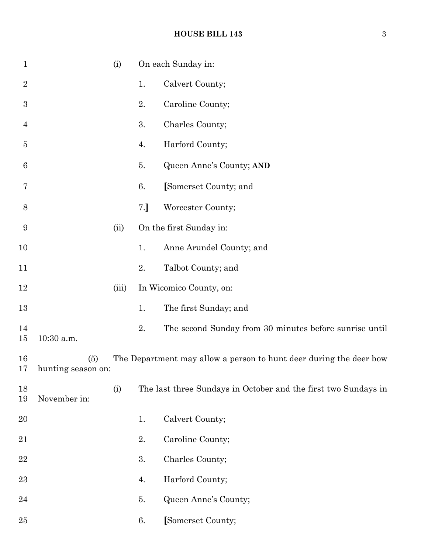## **HOUSE BILL 143** 3

| $\mathbf{1}$   |                           | (i)   |    | On each Sunday in:                                                 |
|----------------|---------------------------|-------|----|--------------------------------------------------------------------|
| $\sqrt{2}$     |                           |       | 1. | Calvert County;                                                    |
| 3              |                           |       | 2. | Caroline County;                                                   |
| $\overline{4}$ |                           |       | 3. | Charles County;                                                    |
| $\overline{5}$ |                           |       | 4. | Harford County;                                                    |
| 6              |                           |       | 5. | Queen Anne's County; AND                                           |
| 7              |                           |       | 6. | [Somerset County; and                                              |
| 8              |                           |       | 7. | Worcester County;                                                  |
| 9              |                           | (ii)  |    | On the first Sunday in:                                            |
| 10             |                           |       | 1. | Anne Arundel County; and                                           |
| 11             |                           |       | 2. | Talbot County; and                                                 |
| 12             |                           | (iii) |    | In Wicomico County, on:                                            |
| 13             |                           |       | 1. | The first Sunday; and                                              |
| 14<br>15       | 10:30 a.m.                |       | 2. | The second Sunday from 30 minutes before sunrise until             |
| 16<br>17       | (5)<br>hunting season on: |       |    | The Department may allow a person to hunt deer during the deer bow |
| 18<br>19       | November in:              | (i)   |    | The last three Sundays in October and the first two Sundays in     |
| 20             |                           |       | 1. | Calvert County;                                                    |
| 21             |                           |       | 2. | Caroline County;                                                   |
| 22             |                           |       | 3. | Charles County;                                                    |
| 23             |                           |       | 4. | Harford County;                                                    |
| 24             |                           |       | 5. | Queen Anne's County;                                               |
| 25             |                           |       | 6. | [Somerset County;                                                  |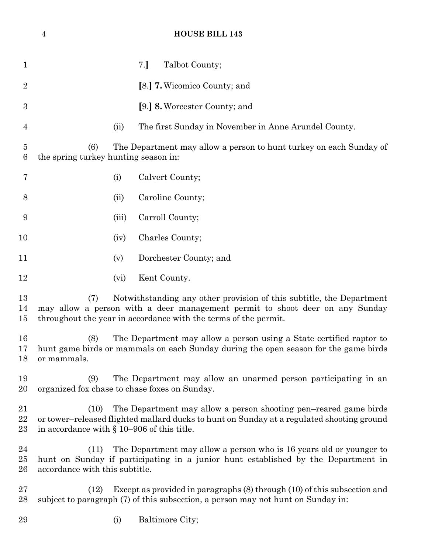# **HOUSE BILL 143**

| $\mathbf 1$    |                                                                                                                                                                                                                                |       | 7.<br>Talbot County;                                                                                                                                         |  |  |  |
|----------------|--------------------------------------------------------------------------------------------------------------------------------------------------------------------------------------------------------------------------------|-------|--------------------------------------------------------------------------------------------------------------------------------------------------------------|--|--|--|
| $\overline{2}$ |                                                                                                                                                                                                                                |       | [8.] <b>7.</b> Wicomico County; and                                                                                                                          |  |  |  |
| 3              |                                                                                                                                                                                                                                |       | [9.] 8. Worcester County; and                                                                                                                                |  |  |  |
| $\overline{4}$ |                                                                                                                                                                                                                                | (ii)  | The first Sunday in November in Anne Arundel County.                                                                                                         |  |  |  |
| 5<br>6         | The Department may allow a person to hunt turkey on each Sunday of<br>(6)<br>the spring turkey hunting season in:                                                                                                              |       |                                                                                                                                                              |  |  |  |
| 7              |                                                                                                                                                                                                                                | (i)   | Calvert County;                                                                                                                                              |  |  |  |
| 8              |                                                                                                                                                                                                                                | (ii)  | Caroline County;                                                                                                                                             |  |  |  |
| 9              |                                                                                                                                                                                                                                | (iii) | Carroll County;                                                                                                                                              |  |  |  |
| 10             |                                                                                                                                                                                                                                | (iv)  | Charles County;                                                                                                                                              |  |  |  |
| 11             |                                                                                                                                                                                                                                | (v)   | Dorchester County; and                                                                                                                                       |  |  |  |
| 12             |                                                                                                                                                                                                                                | (vi)  | Kent County.                                                                                                                                                 |  |  |  |
| 13<br>14<br>15 | Notwithstanding any other provision of this subtitle, the Department<br>(7)<br>may allow a person with a deer management permit to shoot deer on any Sunday<br>throughout the year in accordance with the terms of the permit. |       |                                                                                                                                                              |  |  |  |
| 16<br>17<br>18 | The Department may allow a person using a State certified raptor to<br>(8)<br>hunt game birds or mammals on each Sunday during the open season for the game birds<br>or mammals.                                               |       |                                                                                                                                                              |  |  |  |
| 19<br>20       | The Department may allow an unarmed person participating in an<br>(9)<br>organized fox chase to chase foxes on Sunday.                                                                                                         |       |                                                                                                                                                              |  |  |  |
| 21<br>22<br>23 | The Department may allow a person shooting pen-reared game birds<br>(10)<br>or tower-released flighted mallard ducks to hunt on Sunday at a regulated shooting ground<br>in accordance with $\S 10-906$ of this title.         |       |                                                                                                                                                              |  |  |  |
| 24<br>25<br>26 | The Department may allow a person who is 16 years old or younger to<br>(11)<br>hunt on Sunday if participating in a junior hunt established by the Department in<br>accordance with this subtitle.                             |       |                                                                                                                                                              |  |  |  |
| 27<br>28       | (12)                                                                                                                                                                                                                           |       | Except as provided in paragraphs (8) through (10) of this subsection and<br>subject to paragraph (7) of this subsection, a person may not hunt on Sunday in: |  |  |  |
| 29             |                                                                                                                                                                                                                                | (i)   | Baltimore City;                                                                                                                                              |  |  |  |